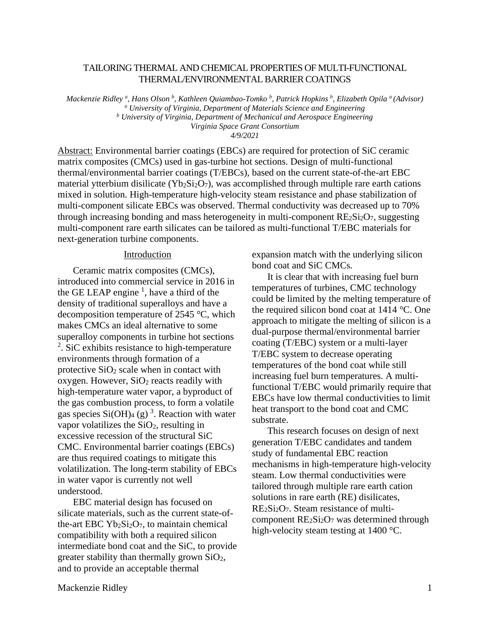## TAILORING THERMAL AND CHEMICAL PROPERTIES OF MULTI-FUNCTIONAL THERMAL/ENVIRONMENTAL BARRIER COATINGS

*Mackenzie Ridley <sup>a</sup> , Hans Olson b , Kathleen Quiambao-Tomko <sup>b</sup> , Patrick Hopkins <sup>b</sup> , Elizabeth Opila <sup>a</sup> (Advisor) <sup>a</sup> University of Virginia, Department of Materials Science and Engineering <sup>b</sup> University of Virginia, Department of Mechanical and Aerospace Engineering Virginia Space Grant Consortium 4/9/2021*

Abstract: Environmental barrier coatings (EBCs) are required for protection of SiC ceramic matrix composites (CMCs) used in gas-turbine hot sections. Design of multi-functional thermal/environmental barrier coatings (T/EBCs), based on the current state-of-the-art EBC material ytterbium disilicate (Yb<sub>2</sub>Si<sub>2</sub>O<sub>7</sub>), was accomplished through multiple rare earth cations mixed in solution. High-temperature high-velocity steam resistance and phase stabilization of multi-component silicate EBCs was observed. Thermal conductivity was decreased up to 70% through increasing bonding and mass heterogeneity in multi-component  $RE_2Si_2O_7$ , suggesting multi-component rare earth silicates can be tailored as multi-functional T/EBC materials for next-generation turbine components.

## **Introduction**

Ceramic matrix composites (CMCs), introduced into commercial service in 2016 in the GE LEAP engine  $\frac{1}{2}$ , have a third of the density of traditional superalloys and have a decomposition temperature of 2545 °C, which makes CMCs an ideal alternative to some superalloy components in turbine hot sections <sup>2</sup>. SiC exhibits resistance to high-temperature environments through formation of a protective  $SiO<sub>2</sub>$  scale when in contact with oxygen. However,  $SiO<sub>2</sub>$  reacts readily with high-temperature water vapor, a byproduct of the gas combustion process, to form a volatile gas species  $Si(OH)_4$  (g)<sup>3</sup>. Reaction with water vapor volatilizes the  $SiO<sub>2</sub>$ , resulting in excessive recession of the structural SiC CMC. Environmental barrier coatings (EBCs) are thus required coatings to mitigate this volatilization. The long-term stability of EBCs in water vapor is currently not well understood.

EBC material design has focused on silicate materials, such as the current state-ofthe-art EBC  $Yb_2Si_2O_7$ , to maintain chemical compatibility with both a required silicon intermediate bond coat and the SiC, to provide greater stability than thermally grown SiO2, and to provide an acceptable thermal

expansion match with the underlying silicon bond coat and SiC CMCs.

It is clear that with increasing fuel burn temperatures of turbines, CMC technology could be limited by the melting temperature of the required silicon bond coat at 1414 °C. One approach to mitigate the melting of silicon is a dual-purpose thermal/environmental barrier coating (T/EBC) system or a multi-layer T/EBC system to decrease operating temperatures of the bond coat while still increasing fuel burn temperatures. A multifunctional T/EBC would primarily require that EBCs have low thermal conductivities to limit heat transport to the bond coat and CMC substrate.

This research focuses on design of next generation T/EBC candidates and tandem study of fundamental EBC reaction mechanisms in high-temperature high-velocity steam. Low thermal conductivities were tailored through multiple rare earth cation solutions in rare earth (RE) disilicates, RE2Si2O7. Steam resistance of multicomponent  $RE<sub>2</sub>Si<sub>2</sub>O<sub>7</sub>$  was determined through high-velocity steam testing at 1400 °C.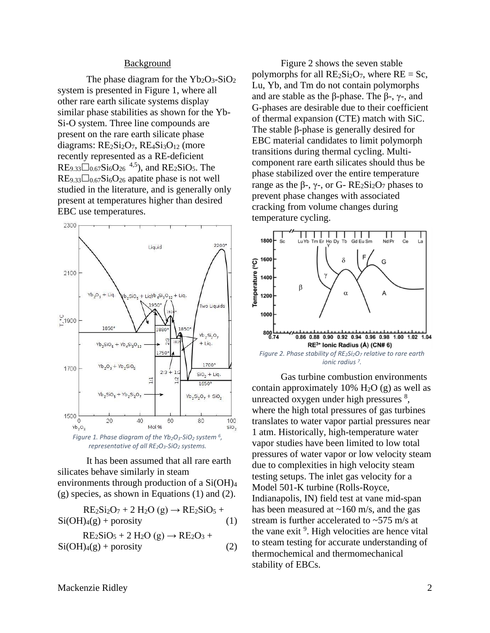## Background

The phase diagram for the  $Yb_2O_3-SiO_2$ system is presented in Figure 1, where all other rare earth silicate systems display similar phase stabilities as shown for the Yb-Si-O system. Three line compounds are present on the rare earth silicate phase diagrams:  $RE<sub>2</sub>Si<sub>2</sub>O<sub>7</sub>$ ,  $RE<sub>4</sub>Si<sub>3</sub>O<sub>12</sub>$  (more recently represented as a RE-deficient  $RE_{9.33} \square_{0.67}$ Si<sub>6</sub>O<sub>26</sub><sup>4,5</sup>), and RE<sub>2</sub>SiO<sub>5</sub>. The  $RE_{9.33}\Box_{0.67}Si_6O_{26}$  apatite phase is not well studied in the literature, and is generally only present at temperatures higher than desired EBC use temperatures.



It has been assumed that all rare earth silicates behave similarly in steam environments through production of a Si(OH)<sup>4</sup> (g) species, as shown in Equations (1) and (2).

$$
RE2Si2O7 + 2 H2O(g) \rightarrow RE2SiO5 +\nSi(OH)4(g) + porosity
$$
\n
$$
RE2SiO5 + 2 H2O(g) \rightarrow RE2O3 +\nSi(OH)4(g) + porosity
$$
\n(2)

Figure 2 shows the seven stable polymorphs for all  $RE_2Si_2O_7$ , where  $RE = Sc$ , Lu, Yb, and Tm do not contain polymorphs and are stable as the β-phase. The β-,  $γ$ -, and G-phases are desirable due to their coefficient of thermal expansion (CTE) match with SiC. The stable β-phase is generally desired for EBC material candidates to limit polymorph transitions during thermal cycling. Multicomponent rare earth silicates should thus be phase stabilized over the entire temperature range as the β-,  $γ$ -, or G- RE<sub>2</sub>Si<sub>2</sub>O<sub>7</sub> phases to prevent phase changes with associated cracking from volume changes during temperature cycling.



Gas turbine combustion environments contain approximately 10%  $H<sub>2</sub>O$  (g) as well as unreacted oxygen under high pressures <sup>8</sup>, where the high total pressures of gas turbines translates to water vapor partial pressures near 1 atm. Historically, high-temperature water vapor studies have been limited to low total pressures of water vapor or low velocity steam due to complexities in high velocity steam testing setups. The inlet gas velocity for a Model 501-K turbine (Rolls-Royce, Indianapolis, IN) field test at vane mid-span has been measured at  $\sim$ 160 m/s, and the gas stream is further accelerated to  $\approx$  575 m/s at the vane exit<sup>9</sup>. High velocities are hence vital to steam testing for accurate understanding of thermochemical and thermomechanical stability of EBCs.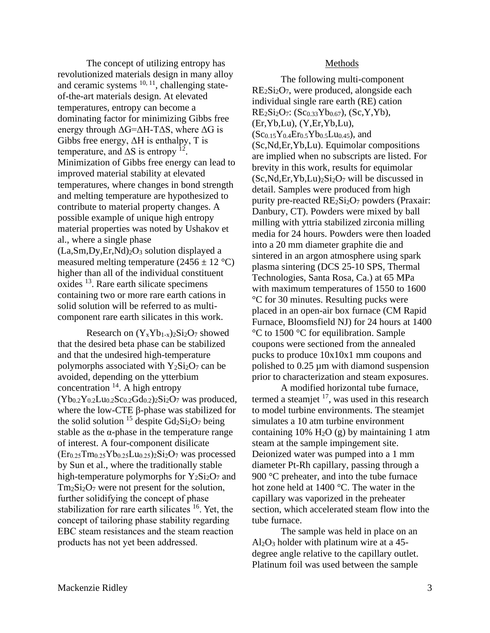The concept of utilizing entropy has revolutionized materials design in many alloy and ceramic systems <sup>10, 11</sup>, challenging stateof-the-art materials design. At elevated temperatures, entropy can become a dominating factor for minimizing Gibbs free energy through  $\Delta G = \Delta H - T \Delta S$ , where  $\Delta G$  is Gibbs free energy,  $\Delta H$  is enthalpy, T is temperature, and  $\Delta S$  is entropy <sup>12</sup>. Minimization of Gibbs free energy can lead to improved material stability at elevated temperatures, where changes in bond strength and melting temperature are hypothesized to contribute to material property changes. A possible example of unique high entropy material properties was noted by Ushakov et al., where a single phase  $(La, Sm, Dy, Er, Nd)<sub>2</sub>O<sub>3</sub> solution displayed a$ measured melting temperature  $(2456 \pm 12 \degree C)$ higher than all of the individual constituent oxides <sup>13</sup>. Rare earth silicate specimens containing two or more rare earth cations in solid solution will be referred to as multicomponent rare earth silicates in this work.

Research on  $(Y_x Y b_{1-x})_2 S i_2 O_7$  showed that the desired beta phase can be stabilized and that the undesired high-temperature polymorphs associated with  $Y_2Si_2O_7$  can be avoided, depending on the ytterbium concentration  $14$ . A high entropy  $(Yb_{0.2}Y_{0.2}Lu_{0.2}Sc_{0.2}Gd_{0.2})_2Si_2O_7$  was produced, where the low-CTE β-phase was stabilized for the solid solution <sup>15</sup> despite  $Gd_2Si_2O_7$  being stable as the  $\alpha$ -phase in the temperature range of interest. A four-component disilicate  $(Er_{0.25}Tm_{0.25}Yb_{0.25}Lu_{0.25})_2Si_2O_7$  was processed by Sun et al., where the traditionally stable high-temperature polymorphs for  $Y_2Si_2O_7$  and Tm2Si2O<sup>7</sup> were not present for the solution, further solidifying the concept of phase stabilization for rare earth silicates <sup>16</sup>. Yet, the concept of tailoring phase stability regarding EBC steam resistances and the steam reaction products has not yet been addressed.

## Methods

The following multi-component  $RE<sub>2</sub>Si<sub>2</sub>O<sub>7</sub>$ , were produced, alongside each individual single rare earth (RE) cation  $RE_2Si_2O_7$ : (Sc<sub>0.33</sub>Yb<sub>0.67</sub>), (Sc,Y,Yb), (Er,Yb,Lu), (Y,Er,Yb,Lu),  $(Sc_{0.15}Y_{0.4}Er_{0.5}Yb_{0.5}Lu_{0.45})$ , and (Sc,Nd,Er,Yb,Lu). Equimolar compositions are implied when no subscripts are listed. For brevity in this work, results for equimolar  $(Sc, Nd, Er, Yb, Lu)_{2}Si_{2}O_{7}$  will be discussed in detail. Samples were produced from high purity pre-reacted  $RE<sub>2</sub>Si<sub>2</sub>O<sub>7</sub>$  powders (Praxair: Danbury, CT). Powders were mixed by ball milling with yttria stabilized zirconia milling media for 24 hours. Powders were then loaded into a 20 mm diameter graphite die and sintered in an argon atmosphere using spark plasma sintering (DCS 25-10 SPS, Thermal Technologies, Santa Rosa, Ca.) at 65 MPa with maximum temperatures of 1550 to 1600 °C for 30 minutes. Resulting pucks were placed in an open-air box furnace (CM Rapid Furnace, Bloomsfield NJ) for 24 hours at 1400 °C to 1500 °C for equilibration. Sample coupons were sectioned from the annealed pucks to produce 10x10x1 mm coupons and polished to 0.25 µm with diamond suspension prior to characterization and steam exposures.

A modified horizontal tube furnace, termed a steamjet <sup>17</sup>, was used in this research to model turbine environments. The steamjet simulates a 10 atm turbine environment containing 10%  $H_2O$  (g) by maintaining 1 atm steam at the sample impingement site. Deionized water was pumped into a 1 mm diameter Pt-Rh capillary, passing through a 900 °C preheater, and into the tube furnace hot zone held at 1400 °C. The water in the capillary was vaporized in the preheater section, which accelerated steam flow into the tube furnace.

The sample was held in place on an  $Al_2O_3$  holder with platinum wire at a 45degree angle relative to the capillary outlet. Platinum foil was used between the sample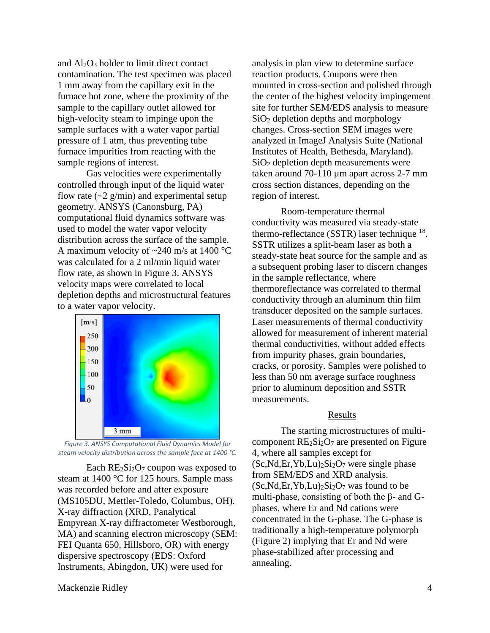and  $Al_2O_3$  holder to limit direct contact contamination. The test specimen was placed 1 mm away from the capillary exit in the furnace hot zone, where the proximity of the sample to the capillary outlet allowed for high-velocity steam to impinge upon the sample surfaces with a water vapor partial pressure of 1 atm, thus preventing tube furnace impurities from reacting with the sample regions of interest.

Gas velocities were experimentally controlled through input of the liquid water flow rate  $\left(\sim 2 \frac{\text{g}}{\text{min}}\right)$  and experimental setup geometry. ANSYS (Canonsburg, PA) computational fluid dynamics software was used to model the water vapor velocity distribution across the surface of the sample. A maximum velocity of ~240 m/s at 1400 °C was calculated for a 2 ml/min liquid water flow rate, as shown in Figure 3. ANSYS velocity maps were correlated to local depletion depths and microstructural features to a water vapor velocity.





Each  $RE_2Si_2O_7$  coupon was exposed to steam at 1400 °C for 125 hours. Sample mass was recorded before and after exposure (MS105DU, Mettler-Toledo, Columbus, OH). X-ray diffraction (XRD, Panalytical Empyrean X-ray diffractometer Westborough, MA) and scanning electron microscopy (SEM: FEI Quanta 650, Hillsboro, OR) with energy dispersive spectroscopy (EDS: Oxford Instruments, Abingdon, UK) were used for

analysis in plan view to determine surface reaction products. Coupons were then mounted in cross-section and polished through the center of the highest velocity impingement site for further SEM/EDS analysis to measure SiO<sup>2</sup> depletion depths and morphology changes. Cross-section SEM images were analyzed in ImageJ Analysis Suite (National Institutes of Health, Bethesda, Maryland). SiO<sup>2</sup> depletion depth measurements were taken around 70-110 µm apart across 2-7 mm cross section distances, depending on the region of interest.

Room-temperature thermal conductivity was measured via steady-state thermo-reflectance (SSTR) laser technique  $^{18}$ . SSTR utilizes a split-beam laser as both a steady-state heat source for the sample and as a subsequent probing laser to discern changes in the sample reflectance, where thermoreflectance was correlated to thermal conductivity through an aluminum thin film transducer deposited on the sample surfaces. Laser measurements of thermal conductivity allowed for measurement of inherent material thermal conductivities, without added effects from impurity phases, grain boundaries, cracks, or porosity. Samples were polished to less than 50 nm average surface roughness prior to aluminum deposition and SSTR measurements.

## Results

The starting microstructures of multicomponent  $RE_2Si_2O_7$  are presented on Figure 4, where all samples except for  $(Sc, Nd, Er, Yb, Lu)<sub>2</sub>Si<sub>2</sub>O<sub>7</sub>$  were single phase from SEM/EDS and XRD analysis.  $(Sc, Nd, Er, Yb, Lu)_{2}Si_{2}O_{7}$  was found to be multi-phase, consisting of both the β- and Gphases, where Er and Nd cations were concentrated in the G-phase. The G-phase is traditionally a high-temperature polymorph (Figure 2) implying that Er and Nd were phase-stabilized after processing and annealing.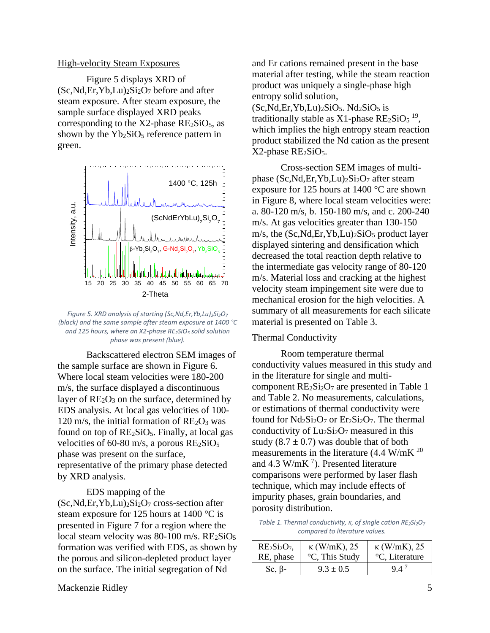### High-velocity Steam Exposures

Figure 5 displays XRD of  $(Sc, Nd, Er, Yb, Lu)<sub>2</sub>Si<sub>2</sub>O<sub>7</sub> before and after$ steam exposure. After steam exposure, the sample surface displayed XRD peaks corresponding to the  $X2$ -phase  $RE<sub>2</sub>SiO<sub>5</sub>$ , as shown by the  $Yb_2SiO_5$  reference pattern in green.



*Figure 5. XRD analysis of starting (Sc,Nd,Er,Yb,Lu)2Si2O<sup>7</sup> (black) and the same sample after steam exposure at 1400 °C and 125 hours, where an X2-phase RE2SiO<sup>5</sup> solid solution phase was present (blue).*

Backscattered electron SEM images of the sample surface are shown in Figure 6. Where local steam velocities were 180-200 m/s, the surface displayed a discontinuous layer of  $RE<sub>2</sub>O<sub>3</sub>$  on the surface, determined by EDS analysis. At local gas velocities of 100- 120 m/s, the initial formation of  $RE_2O_3$  was found on top of  $RE_2SiO_5$ . Finally, at local gas velocities of 60-80 m/s, a porous  $RE<sub>2</sub>SiO<sub>5</sub>$ phase was present on the surface, representative of the primary phase detected by XRD analysis.

EDS mapping of the

 $(Sc, Nd, Er, Yb, Lu)_{2}Si_{2}O_{7}$  cross-section after steam exposure for 125 hours at 1400 °C is presented in Figure 7 for a region where the local steam velocity was  $80-100$  m/s.  $RE<sub>2</sub>SiO<sub>5</sub>$ formation was verified with EDS, as shown by the porous and silicon-depleted product layer on the surface. The initial segregation of Nd

and Er cations remained present in the base material after testing, while the steam reaction product was uniquely a single-phase high entropy solid solution,  $(Sc, Nd, Er, Yb, Lu)<sub>2</sub>SiO<sub>5</sub>. Nd<sub>2</sub>SiO<sub>5</sub> is$ traditionally stable as  $X1$ -phase  $RE_2SiO_5$ <sup>19</sup>, which implies the high entropy steam reaction product stabilized the Nd cation as the present  $X2$ -phase  $RE<sub>2</sub>SiO<sub>5</sub>$ .

Cross-section SEM images of multiphase  $(Sc, Nd, Er, Yb, Lu)_{2}Si_{2}O_{7}$  after steam exposure for 125 hours at 1400 °C are shown in Figure 8, where local steam velocities were: a. 80-120 m/s, b. 150-180 m/s, and c. 200-240 m/s. At gas velocities greater than 130-150 m/s, the (Sc,Nd,Er,Yb,Lu)<sub>2</sub>SiO<sub>5</sub> product layer displayed sintering and densification which decreased the total reaction depth relative to the intermediate gas velocity range of 80-120 m/s. Material loss and cracking at the highest velocity steam impingement site were due to mechanical erosion for the high velocities. A summary of all measurements for each silicate material is presented on Table 3.

### Thermal Conductivity

Room temperature thermal conductivity values measured in this study and in the literature for single and multicomponent  $RE_2Si_2O_7$  are presented in Table 1 and Table 2. No measurements, calculations, or estimations of thermal conductivity were found for  $Nd_2Si_2O_7$  or  $Er_2Si_2O_7$ . The thermal conductivity of  $Lu_2Si_2O_7$  measured in this study  $(8.7 \pm 0.7)$  was double that of both measurements in the literature (4.4 W/mK <sup>20</sup> and 4.3 W/mK $^7$ ). Presented literature comparisons were performed by laser flash technique, which may include effects of impurity phases, grain boundaries, and porosity distribution.

*Table 1. Thermal conductivity, κ, of single cation RE2Si2O<sup>7</sup> compared to literature values.*

| $RE2Si2O7$    | $\kappa$ (W/mK), 25 | $\kappa$ (W/mK), 25 |
|---------------|---------------------|---------------------|
| RE, phase     | °C, This Study      | °C, Literature      |
| Sc, $\beta$ - | $9.3 \pm 0.5$       | 94                  |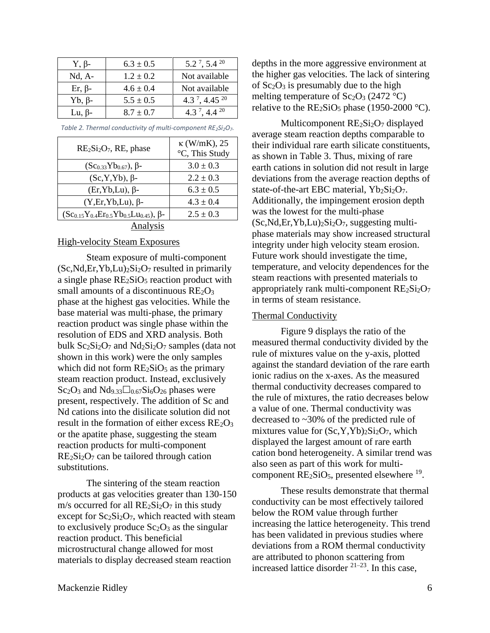| $Y, \beta$ -  | $6.3 \pm 0.5$ | $5.2^7$ , $5.4^{20}$                  |
|---------------|---------------|---------------------------------------|
| $Nd, A-$      | $1.2 \pm 0.2$ | Not available                         |
| $Er, \beta$ - | $4.6 \pm 0.4$ | Not available                         |
| $Yb, \beta$ - | $5.5 \pm 0.5$ | 4.3 <sup>7</sup> , 4.45 <sup>20</sup> |
| Lu, $\beta$ - | $8.7 \pm 0.7$ | 4.3 <sup>7</sup> , 4.4 <sup>20</sup>  |

| $RE2Si2O7$ , RE, phase                                    | $\kappa$ (W/mK), 25<br>°C, This Study |  |  |  |
|-----------------------------------------------------------|---------------------------------------|--|--|--|
| $(Sc_{0.33}Yb_{0.67}), \beta$ -                           | $3.0 \pm 0.3$                         |  |  |  |
| $(Sc, Y, Yb)$ , $\beta$ -                                 | $2.2 \pm 0.3$                         |  |  |  |
| $(Er, Yb, Lu)$ , $\beta$ -                                | $6.3 \pm 0.5$                         |  |  |  |
| $(Y, Er, Yb, Lu)$ , $\beta$ -                             | $4.3 \pm 0.4$                         |  |  |  |
| $(Sc_{0.15}Y_{0.4}Er_{0.5}Yb_{0.5}Lu_{0.45})$ , $\beta$ - | $2.5 \pm 0.3$                         |  |  |  |
| Analysis                                                  |                                       |  |  |  |

*Table 2. Thermal conductivity of multi-component RE2Si2O7.*

# High-velocity Steam Exposures

Steam exposure of multi-component  $(Sc, Nd, Er, Yb, Lu)_{2}Si_{2}O_{7}$  resulted in primarily a single phase  $RE<sub>2</sub>SiO<sub>5</sub>$  reaction product with small amounts of a discontinuous  $RE<sub>2</sub>O<sub>3</sub>$ phase at the highest gas velocities. While the base material was multi-phase, the primary reaction product was single phase within the resolution of EDS and XRD analysis. Both bulk  $Sc_2Si_2O_7$  and  $Nd_2Si_2O_7$  samples (data not shown in this work) were the only samples which did not form  $RE<sub>2</sub>SiO<sub>5</sub>$  as the primary steam reaction product. Instead, exclusively  $Sc_2O_3$  and  $Nd_{9,33}\Box_{0,67}Si_6O_{26}$  phases were present, respectively. The addition of Sc and Nd cations into the disilicate solution did not result in the formation of either excess  $RE_2O_3$ or the apatite phase, suggesting the steam reaction products for multi-component  $RE<sub>2</sub>Si<sub>2</sub>O<sub>7</sub>$  can be tailored through cation substitutions.

The sintering of the steam reaction products at gas velocities greater than 130-150 m/s occurred for all  $RE<sub>2</sub>Si<sub>2</sub>O<sub>7</sub>$  in this study except for  $Sc_2Si_2O_7$ , which reacted with steam to exclusively produce  $Sc<sub>2</sub>O<sub>3</sub>$  as the singular reaction product. This beneficial microstructural change allowed for most materials to display decreased steam reaction

depths in the more aggressive environment at the higher gas velocities. The lack of sintering of  $Sc_2O_3$  is presumably due to the high melting temperature of  $Sc_2O_3$  (2472 °C) relative to the  $RE_2SiO_5$  phase (1950-2000 °C).

Multicomponent RE2Si2O7 displayed average steam reaction depths comparable to their individual rare earth silicate constituents, as shown in Table 3. Thus, mixing of rare earth cations in solution did not result in large deviations from the average reaction depths of state-of-the-art EBC material,  $Yb_2Si_2O_7$ . Additionally, the impingement erosion depth was the lowest for the multi-phase  $(Sc, Nd, Er, Yb, Lu)<sub>2</sub>Si<sub>2</sub>O<sub>7</sub>$ , suggesting multiphase materials may show increased structural integrity under high velocity steam erosion. Future work should investigate the time, temperature, and velocity dependences for the steam reactions with presented materials to appropriately rank multi-component  $RE<sub>2</sub>Si<sub>2</sub>O<sub>7</sub>$ in terms of steam resistance.

### Thermal Conductivity

Figure 9 displays the ratio of the measured thermal conductivity divided by the rule of mixtures value on the y-axis, plotted against the standard deviation of the rare earth ionic radius on the x-axes. As the measured thermal conductivity decreases compared to the rule of mixtures, the ratio decreases below a value of one. Thermal conductivity was decreased to ~30% of the predicted rule of mixtures value for  $(Sc, Y, Yb)_{2}Si_{2}O_{7}$ , which displayed the largest amount of rare earth cation bond heterogeneity. A similar trend was also seen as part of this work for multicomponent  $RE_2SiO_5$ , presented elsewhere  $^{19}$ .

These results demonstrate that thermal conductivity can be most effectively tailored below the ROM value through further increasing the lattice heterogeneity. This trend has been validated in previous studies where deviations from a ROM thermal conductivity are attributed to phonon scattering from increased lattice disorder  $21-23$ . In this case,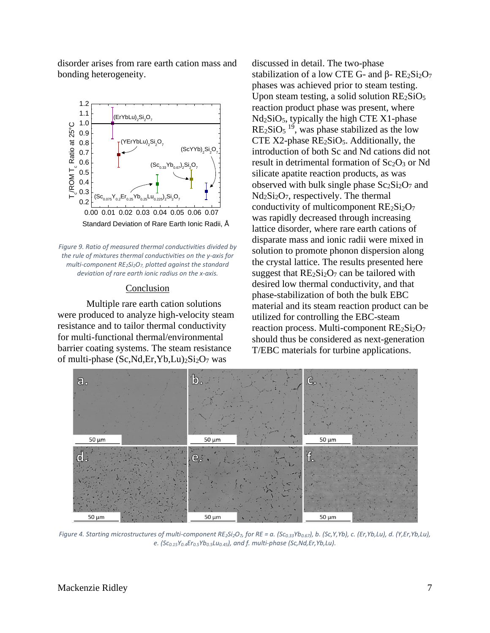disorder arises from rare earth cation mass and bonding heterogeneity.



*Figure 9. Ratio of measured thermal conductivities divided by the rule of mixtures thermal conductivities on the y-axis for multi-component RE2Si2O7, plotted against the standard deviation of rare earth ionic radius on the x-axis.*

### Conclusion

Multiple rare earth cation solutions were produced to analyze high-velocity steam resistance and to tailor thermal conductivity for multi-functional thermal/environmental barrier coating systems. The steam resistance of multi-phase  $(Sc, Nd, Er, Yb, Lu)_{2}Si_{2}O_{7}$  was

discussed in detail. The two-phase stabilization of a low CTE G- and β- RE2Si2O7 phases was achieved prior to steam testing. Upon steam testing, a solid solution  $RE<sub>2</sub>SiO<sub>5</sub>$ reaction product phase was present, where Nd2SiO5, typically the high CTE X1-phase  $RE<sub>2</sub>SiO<sub>5</sub>$ <sup>19</sup>, was phase stabilized as the low CTE  $X2$ -phase  $RE<sub>2</sub>SiO<sub>5</sub>$ . Additionally, the introduction of both Sc and Nd cations did not result in detrimental formation of  $Sc<sub>2</sub>O<sub>3</sub>$  or Nd silicate apatite reaction products, as was observed with bulk single phase  $Sc_2Si_2O_7$  and  $Nd<sub>2</sub>Si<sub>2</sub>O<sub>7</sub>$ , respectively. The thermal conductivity of multicomponent  $RE<sub>2</sub>Si<sub>2</sub>O<sub>7</sub>$ was rapidly decreased through increasing lattice disorder, where rare earth cations of disparate mass and ionic radii were mixed in solution to promote phonon dispersion along the crystal lattice. The results presented here suggest that  $RE_2Si_2O_7$  can be tailored with desired low thermal conductivity, and that phase-stabilization of both the bulk EBC material and its steam reaction product can be utilized for controlling the EBC-steam reaction process. Multi-component  $RE_2Si_2O_7$ should thus be considered as next-generation T/EBC materials for turbine applications.



*Figure 4. Starting microstructures of multi-component RE2Si2O7, for RE = a. (Sc0.33Yb0.67), b. (Sc,Y,Yb), c. (Er,Yb,Lu), d. (Y,Er,Yb,Lu), e. (Sc0.15Y0.4Er0.5Yb0.5Lu0.45), and f. multi-phase (Sc,Nd,Er,Yb,Lu).*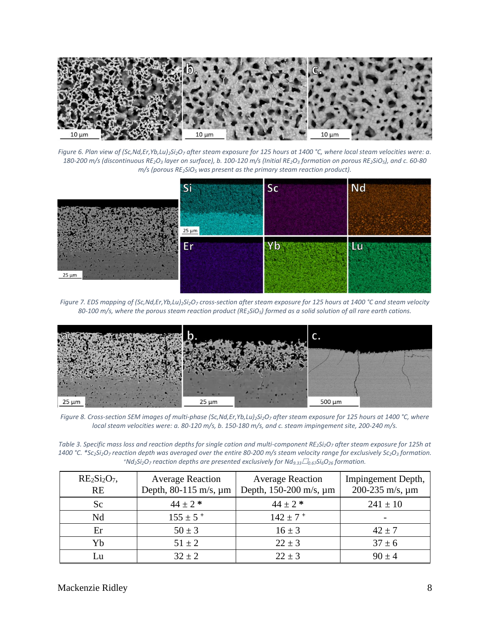

*Figure 6. Plan view of (Sc,Nd,Er,Yb,Lu)2Si2O<sup>7</sup> after steam exposure for 125 hours at 1400 °C, where local steam velocities were: a.*  180-200 m/s (discontinuous RE<sub>2</sub>O<sub>3</sub> layer on surface), b. 100-120 m/s (Initial RE<sub>2</sub>O<sub>3</sub> formation on porous RE<sub>2</sub>SiO<sub>5</sub>), and c. 60-80 *m/s (porous RE2SiO<sup>5</sup> was present as the primary steam reaction product).* 



*Figure 7. EDS mapping of (Sc,Nd,Er,Yb,Lu)2Si2O<sup>7</sup> cross-section after steam exposure for 125 hours at 1400 °C and steam velocity 80-100 m/s, where the porous steam reaction product (RE2SiO5) formed as a solid solution of all rare earth cations.*



*Figure 8. Cross-section SEM images of multi-phase (Sc,Nd,Er,Yb,Lu)2Si2O<sup>7</sup> after steam exposure for 125 hours at 1400 °C, where local steam velocities were: a. 80-120 m/s, b. 150-180 m/s, and c. steam impingement site, 200-240 m/s.* 

*Table 3. Specific mass loss and reaction depths for single cation and multi-component RE2Si2O<sup>7</sup> after steam exposure for 125h at*  1400 °C. \*Sc2Si2O7 reaction depth was averaged over the entire 80-200 m/s steam velocity range for exclusively Sc2O3 formation. *<sup>+</sup>Nd2Si2O<sup>7</sup> reaction depths are presented exclusively for Nd9.330.67Si6O<sup>26</sup> formation.*

| $RE2Si2O7$<br><b>RE</b> | <b>Average Reaction</b><br>Depth, $80-115$ m/s, $\mu$ m | <b>Average Reaction</b><br>Depth, 150-200 m/s, µm | Impingement Depth,<br>200-235 m/s, $\mu$ m |
|-------------------------|---------------------------------------------------------|---------------------------------------------------|--------------------------------------------|
| Sc                      | $44 \pm 2$ *                                            | $44 \pm 2$ *                                      | $241 \pm 10$                               |
| Nd                      | $155 \pm 5$ +                                           | $142 \pm 7$ <sup>+</sup>                          |                                            |
| Er                      | $50 \pm 3$                                              | $16 \pm 3$                                        | $42 \pm 7$                                 |
| Yb                      | $51 \pm 2$                                              | $22 \pm 3$                                        | $37 \pm 6$                                 |
| Lu                      | $32 \pm 2$                                              | $22 \pm 3$                                        | $90 \pm 4$                                 |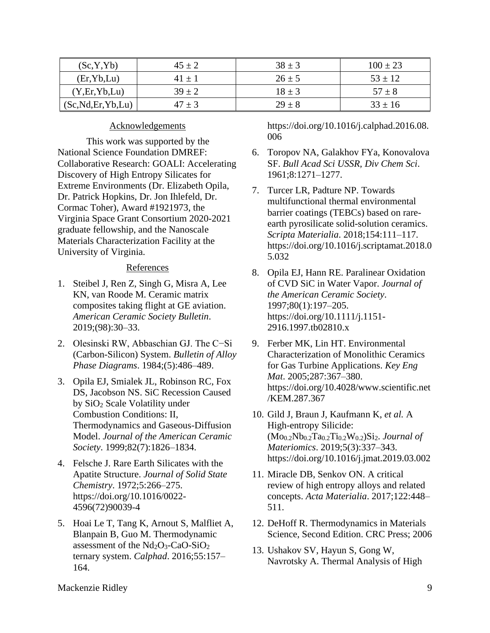| (Sc, Y, Yb)          | $45 \pm 2$ | $38 \pm 3$ | $100 \pm 23$ |
|----------------------|------------|------------|--------------|
| (Er, Yb, Lu)         | $41 \pm 1$ | $26 \pm 5$ | $53 \pm 12$  |
| (Y, Er, Yb, Lu)      | $39 \pm 2$ | $18 \pm 3$ | $57 \pm 8$   |
| (Sc, Nd, Er, Yb, Lu) | $47 \pm 3$ | $29 \pm 8$ | $33 \pm 16$  |

## Acknowledgements

This work was supported by the National Science Foundation DMREF: Collaborative Research: GOALI: Accelerating Discovery of High Entropy Silicates for Extreme Environments (Dr. Elizabeth Opila, Dr. Patrick Hopkins, Dr. Jon Ihlefeld, Dr. Cormac Toher), Award #1921973, the Virginia Space Grant Consortium 2020-2021 graduate fellowship, and the Nanoscale Materials Characterization Facility at the University of Virginia.

### **References**

- 1. Steibel J, Ren Z, Singh G, Misra A, Lee KN, van Roode M. Ceramic matrix composites taking flight at GE aviation. *American Ceramic Society Bulletin*. 2019;(98):30–33.
- 2. Olesinski RW, Abbaschian GJ. The C−Si (Carbon-Silicon) System. *Bulletin of Alloy Phase Diagrams*. 1984;(5):486–489.
- 3. Opila EJ, Smialek JL, Robinson RC, Fox DS, Jacobson NS. SiC Recession Caused by SiO<sup>2</sup> Scale Volatility under Combustion Conditions: II, Thermodynamics and Gaseous-Diffusion Model. *Journal of the American Ceramic Society*. 1999;82(7):1826–1834.
- 4. Felsche J. Rare Earth Silicates with the Apatite Structure. *Journal of Solid State Chemistry*. 1972;5:266–275. https://doi.org/10.1016/0022- 4596(72)90039-4
- 5. Hoai Le T, Tang K, Arnout S, Malfliet A, Blanpain B, Guo M. Thermodynamic assessment of the  $Nd_2O_3$ -CaO-SiO<sub>2</sub> ternary system. *Calphad*. 2016;55:157– 164.

https://doi.org/10.1016/j.calphad.2016.08. 006

- 6. Toropov NA, Galakhov FYa, Konovalova SF. *Bull Acad Sci USSR, Div Chem Sci*. 1961;8:1271–1277.
- 7. Turcer LR, Padture NP. Towards multifunctional thermal environmental barrier coatings (TEBCs) based on rareearth pyrosilicate solid-solution ceramics. *Scripta Materialia*. 2018;154:111–117. https://doi.org/10.1016/j.scriptamat.2018.0 5.032
- 8. Opila EJ, Hann RE. Paralinear Oxidation of CVD SiC in Water Vapor. *Journal of the American Ceramic Society*. 1997;80(1):197–205. https://doi.org/10.1111/j.1151- 2916.1997.tb02810.x
- 9. Ferber MK, Lin HT. Environmental Characterization of Monolithic Ceramics for Gas Turbine Applications. *Key Eng Mat*. 2005;287:367–380. https://doi.org/10.4028/www.scientific.net /KEM.287.367
- 10. Gild J, Braun J, Kaufmann K, *et al.* A High-entropy Silicide: (Mo0.2Nb0.2Ta0.2Ti0.2W0.2)Si2. *Journal of Materiomics*. 2019;5(3):337–343. https://doi.org/10.1016/j.jmat.2019.03.002
- 11. Miracle DB, Senkov ON. A critical review of high entropy alloys and related concepts. *Acta Materialia*. 2017;122:448– 511.
- 12. DeHoff R. Thermodynamics in Materials Science, Second Edition. CRC Press; 2006
- 13. Ushakov SV, Hayun S, Gong W, Navrotsky A. Thermal Analysis of High